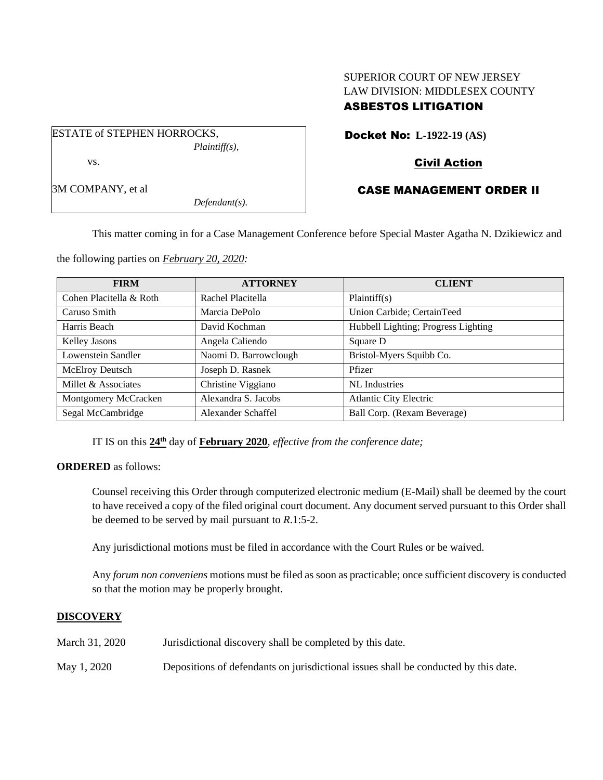# SUPERIOR COURT OF NEW JERSEY LAW DIVISION: MIDDLESEX COUNTY ASBESTOS LITIGATION

ESTATE of STEPHEN HORROCKS, *Plaintiff(s),* vs.

Docket No: **L-1922-19 (AS)**

# Civil Action

# CASE MANAGEMENT ORDER II

3M COMPANY, et al

*Defendant(s).*

This matter coming in for a Case Management Conference before Special Master Agatha N. Dzikiewicz and

the following parties on *February 20, 2020:*

| <b>FIRM</b>             | <b>ATTORNEY</b>       | <b>CLIENT</b>                       |
|-------------------------|-----------------------|-------------------------------------|
| Cohen Placitella & Roth | Rachel Placitella     | Plaintiff(s)                        |
| Caruso Smith            | Marcia DePolo         | Union Carbide; CertainTeed          |
| Harris Beach            | David Kochman         | Hubbell Lighting; Progress Lighting |
| Kelley Jasons           | Angela Caliendo       | Square D                            |
| Lowenstein Sandler      | Naomi D. Barrowclough | Bristol-Myers Squibb Co.            |
| McElroy Deutsch         | Joseph D. Rasnek      | Pfizer                              |
| Millet & Associates     | Christine Viggiano    | NL Industries                       |
| Montgomery McCracken    | Alexandra S. Jacobs   | <b>Atlantic City Electric</b>       |
| Segal McCambridge       | Alexander Schaffel    | Ball Corp. (Rexam Beverage)         |

IT IS on this  $24^{\text{th}}$  day of **February 2020**, *effective from the conference date*;

**ORDERED** as follows:

Counsel receiving this Order through computerized electronic medium (E-Mail) shall be deemed by the court to have received a copy of the filed original court document. Any document served pursuant to this Order shall be deemed to be served by mail pursuant to *R*.1:5-2.

Any jurisdictional motions must be filed in accordance with the Court Rules or be waived.

Any *forum non conveniens* motions must be filed as soon as practicable; once sufficient discovery is conducted so that the motion may be properly brought.

## **DISCOVERY**

| March 31, 2020 | Jurisdictional discovery shall be completed by this date.                           |
|----------------|-------------------------------------------------------------------------------------|
| May 1, 2020    | Depositions of defendants on jurisdictional issues shall be conducted by this date. |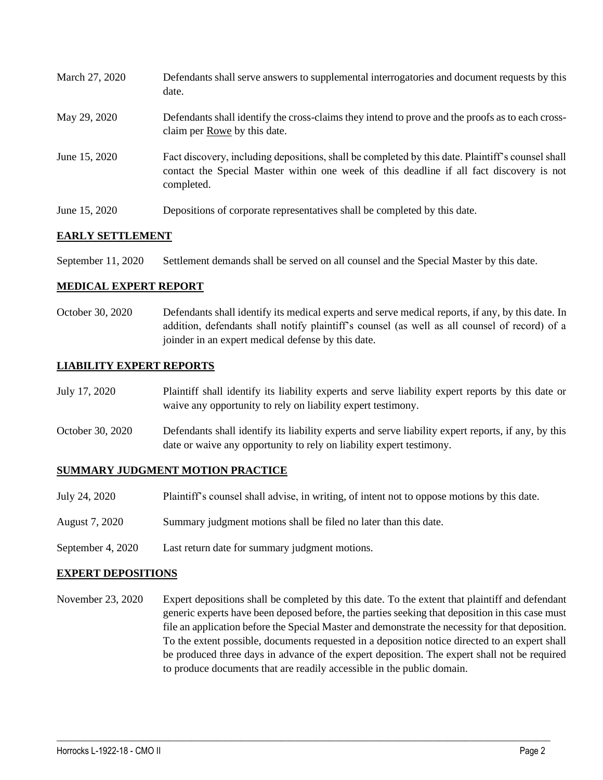| March 27, 2020 | Defendants shall serve answers to supplemental interrogatories and document requests by this<br>date.                                                                                                       |
|----------------|-------------------------------------------------------------------------------------------------------------------------------------------------------------------------------------------------------------|
| May 29, 2020   | Defendants shall identify the cross-claims they intend to prove and the proofs as to each cross-<br>claim per Rowe by this date.                                                                            |
| June 15, 2020  | Fact discovery, including depositions, shall be completed by this date. Plaintiff's counsel shall<br>contact the Special Master within one week of this deadline if all fact discovery is not<br>completed. |
| June 15, 2020  | Depositions of corporate representatives shall be completed by this date.                                                                                                                                   |

### **EARLY SETTLEMENT**

September 11, 2020 Settlement demands shall be served on all counsel and the Special Master by this date.

#### **MEDICAL EXPERT REPORT**

October 30, 2020 Defendants shall identify its medical experts and serve medical reports, if any, by this date. In addition, defendants shall notify plaintiff's counsel (as well as all counsel of record) of a joinder in an expert medical defense by this date.

### **LIABILITY EXPERT REPORTS**

- July 17, 2020 Plaintiff shall identify its liability experts and serve liability expert reports by this date or waive any opportunity to rely on liability expert testimony.
- October 30, 2020 Defendants shall identify its liability experts and serve liability expert reports, if any, by this date or waive any opportunity to rely on liability expert testimony.

#### **SUMMARY JUDGMENT MOTION PRACTICE**

- July 24, 2020 Plaintiff's counsel shall advise, in writing, of intent not to oppose motions by this date.
- August 7, 2020 Summary judgment motions shall be filed no later than this date.
- September 4, 2020 Last return date for summary judgment motions.

#### **EXPERT DEPOSITIONS**

November 23, 2020 Expert depositions shall be completed by this date. To the extent that plaintiff and defendant generic experts have been deposed before, the parties seeking that deposition in this case must file an application before the Special Master and demonstrate the necessity for that deposition. To the extent possible, documents requested in a deposition notice directed to an expert shall be produced three days in advance of the expert deposition. The expert shall not be required to produce documents that are readily accessible in the public domain.

 $\_$  , and the set of the set of the set of the set of the set of the set of the set of the set of the set of the set of the set of the set of the set of the set of the set of the set of the set of the set of the set of th